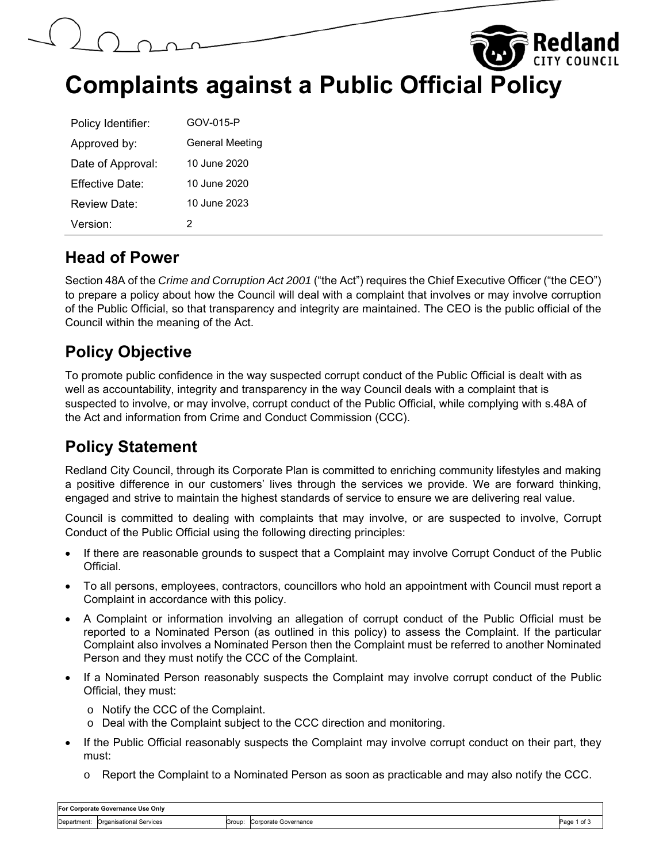



**Complaints against a Public Official Policy** 

| Policy Identifier:   | GOV-015-P              |
|----------------------|------------------------|
| Approved by:         | <b>General Meeting</b> |
| Date of Approval:    | 10 June 2020           |
| Fffective Date:      | 10 June 2020           |
| Review Date:         | 10 June 2023           |
| Version <sup>.</sup> | 2                      |

#### **Head of Power**

Section 48A of the *Crime and Corruption Act 2001* ("the Act") requires the Chief Executive Officer ("the CEO") to prepare a policy about how the Council will deal with a complaint that involves or may involve corruption of the Public Official, so that transparency and integrity are maintained. The CEO is the public official of the Council within the meaning of the Act.

## **Policy Objective**

To promote public confidence in the way suspected corrupt conduct of the Public Official is dealt with as well as accountability, integrity and transparency in the way Council deals with a complaint that is suspected to involve, or may involve, corrupt conduct of the Public Official, while complying with s.48A of the Act and information from Crime and Conduct Commission (CCC).

# **Policy Statement**

Redland City Council, through its Corporate Plan is committed to enriching community lifestyles and making a positive difference in our customers' lives through the services we provide. We are forward thinking, engaged and strive to maintain the highest standards of service to ensure we are delivering real value.

Council is committed to dealing with complaints that may involve, or are suspected to involve, Corrupt Conduct of the Public Official using the following directing principles:

- If there are reasonable grounds to suspect that a Complaint may involve Corrupt Conduct of the Public Official.
- To all persons, employees, contractors, councillors who hold an appointment with Council must report a Complaint in accordance with this policy.
- A Complaint or information involving an allegation of corrupt conduct of the Public Official must be reported to a Nominated Person (as outlined in this policy) to assess the Complaint. If the particular Complaint also involves a Nominated Person then the Complaint must be referred to another Nominated Person and they must notify the CCC of the Complaint.
- If a Nominated Person reasonably suspects the Complaint may involve corrupt conduct of the Public Official, they must:
	- o Notify the CCC of the Complaint.
	- o Deal with the Complaint subject to the CCC direction and monitoring.
- If the Public Official reasonably suspects the Complaint may involve corrupt conduct on their part, they must:
	- $\circ$  Report the Complaint to a Nominated Person as soon as practicable and may also notify the CCC.

| For Corporate Governance Use Only |                                |        |                      |              |
|-----------------------------------|--------------------------------|--------|----------------------|--------------|
| Department:                       | <b>Organisational Services</b> | Group: | Corporate Governance | Page<br>1 of |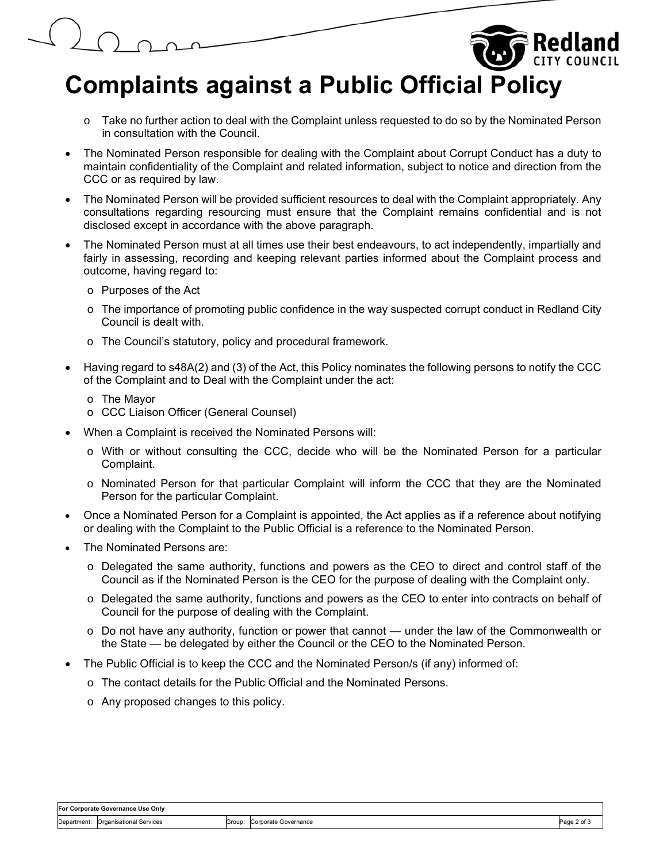

- $\circ$  Take no further action to deal with the Complaint unless requested to do so by the Nominated Person in consultation with the Council.
- The Nominated Person responsible for dealing with the Complaint about Corrupt Conduct has a duty to maintain confidentiality of the Complaint and related information, subject to notice and direction from the CCC or as required by law.
- The Nominated Person will be provided sufficient resources to deal with the Complaint appropriately. Any consultations regarding resourcing must ensure that the Complaint remains confidential and is not disclosed except in accordance with the above paragraph.
- The Nominated Person must at all times use their best endeavours, to act independently, impartially and fairly in assessing, recording and keeping relevant parties informed about the Complaint process and outcome, having regard to:
	- o Purposes of the Act
	- $\circ$  The importance of promoting public confidence in the way suspected corrupt conduct in Redland City Council is dealt with.
	- o The Council's statutory, policy and procedural framework.
- Having regard to s48A(2) and (3) of the Act, this Policy nominates the following persons to notify the CCC of the Complaint and to Deal with the Complaint under the act:
	- o The Mayor
	- o CCC Liaison Officer (General Counsel)
- When a Complaint is received the Nominated Persons will:
	- o With or without consulting the CCC, decide who will be the Nominated Person for a particular Complaint.
	- o Nominated Person for that particular Complaint will inform the CCC that they are the Nominated Person for the particular Complaint.
- Once a Nominated Person for a Complaint is appointed, the Act applies as if a reference about notifying or dealing with the Complaint to the Public Official is a reference to the Nominated Person.
- The Nominated Persons are:
	- o Delegated the same authority, functions and powers as the CEO to direct and control staff of the Council as if the Nominated Person is the CEO for the purpose of dealing with the Complaint only.
	- o Delegated the same authority, functions and powers as the CEO to enter into contracts on behalf of Council for the purpose of dealing with the Complaint.
	- $\circ$  Do not have any authority, function or power that cannot under the law of the Commonwealth or the State — be delegated by either the Council or the CEO to the Nominated Person.
- The Public Official is to keep the CCC and the Nominated Person/s (if any) informed of:
	- o The contact details for the Public Official and the Nominated Persons.
	- o Any proposed changes to this policy.

| For Corporate Governance Use Only |                                     |        |                      |                |
|-----------------------------------|-------------------------------------|--------|----------------------|----------------|
|                                   | Department: Organisational Services | Group: | Corporate Governance | Page<br>ີ of J |